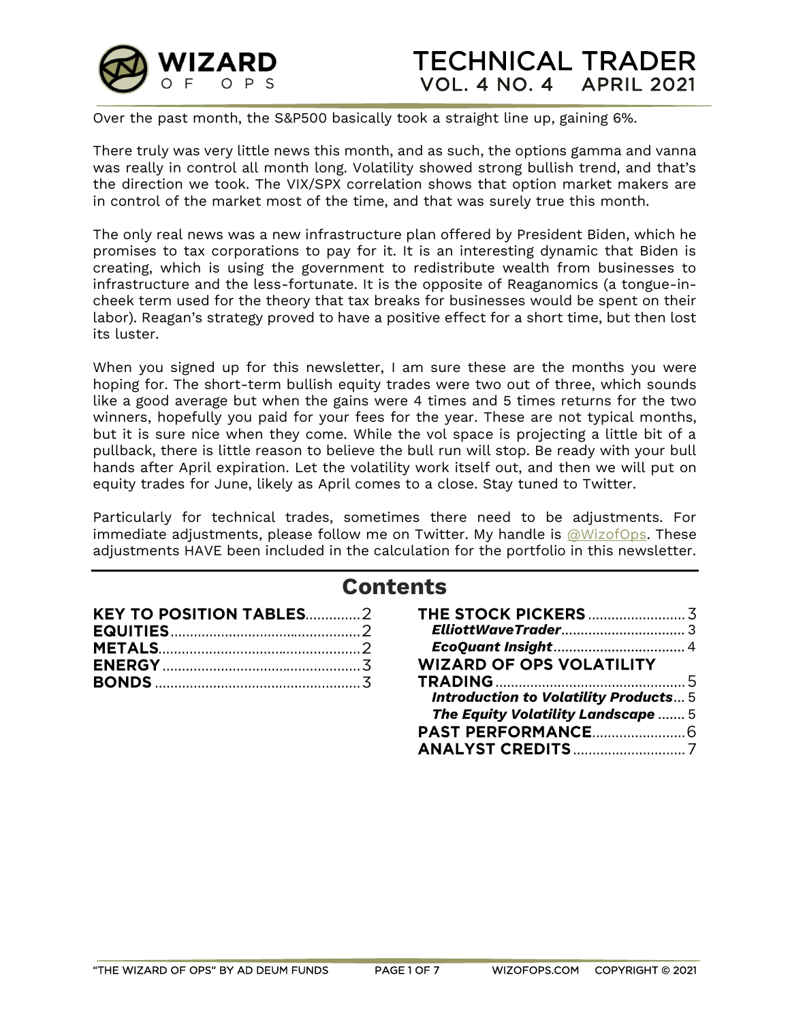

Over the past month, the S&P500 basically took a straight line up, gaining 6%.

There truly was very little news this month, and as such, the options gamma and vanna was really in control all month long. Volatility showed strong bullish trend, and that's the direction we took. The VIX/SPX correlation shows that option market makers are in control of the market most of the time, and that was surely true this month.

The only real news was a new infrastructure plan offered by President Biden, which he promises to tax corporations to pay for it. It is an interesting dynamic that Biden is creating, which is using the government to redistribute wealth from businesses to infrastructure and the less-fortunate. It is the opposite of Reaganomics (a tongue-incheek term used for the theory that tax breaks for businesses would be spent on their labor). Reagan's strategy proved to have a positive effect for a short time, but then lost its luster.

When you signed up for this newsletter, I am sure these are the months you were hoping for. The short-term bullish equity trades were two out of three, which sounds like a good average but when the gains were 4 times and 5 times returns for the two winners, hopefully you paid for your fees for the year. These are not typical months, but it is sure nice when they come. While the vol space is projecting a little bit of a pullback, there is little reason to believe the bull run will stop. Be ready with your bull hands after April expiration. Let the volatility work itself out, and then we will put on equity trades for June, likely as April comes to a close. Stay tuned to Twitter.

Particularly for technical trades, sometimes there need to be adjustments. For immediate adjustments, please follow me on Twitter. My handle is  $@WizofOps.$  These adjustments HAVE been included in the calculation for the portfolio in this newsletter.

# **Contents**

| <b>KEY TO POSITION TABLES2</b> |  |
|--------------------------------|--|
|                                |  |
|                                |  |
|                                |  |
|                                |  |

| <b>WIZARD OF OPS VOLATILITY</b>              |  |
|----------------------------------------------|--|
|                                              |  |
| <b>Introduction to Volatility Products 5</b> |  |
| The Equity Volatility Landscape  5           |  |
|                                              |  |
|                                              |  |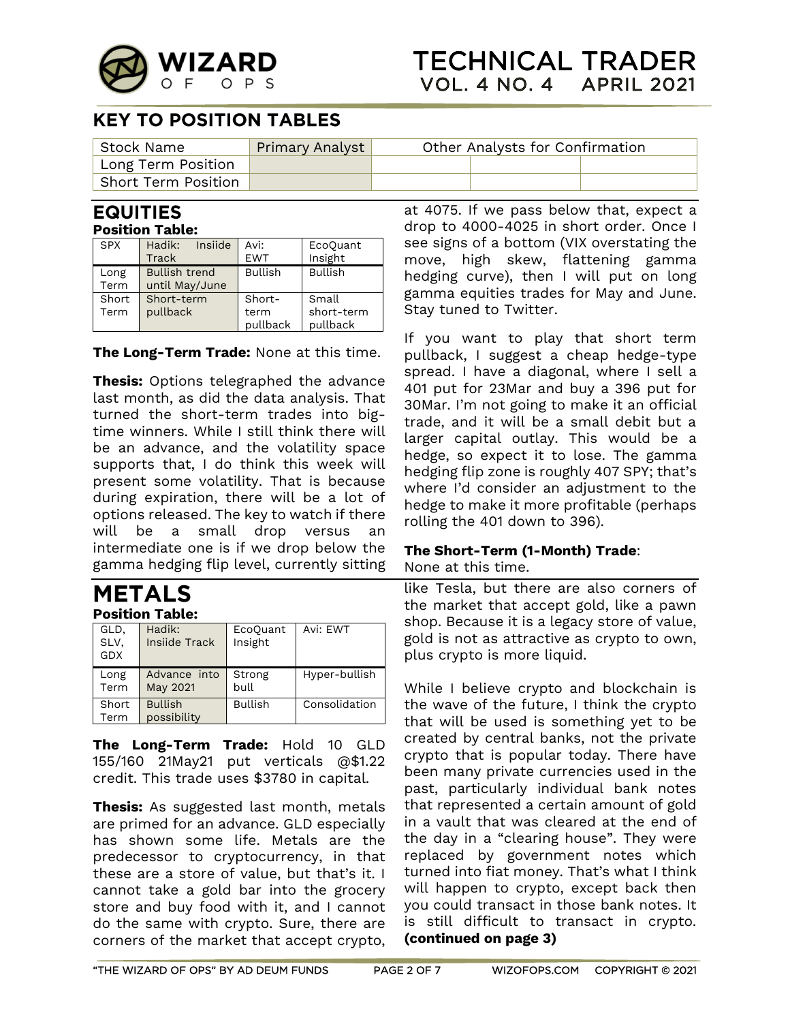

## **KEY TO POSITION TABLES**

| Stock Name                 | Primary Analyst | Other Analysts for Confirmation |  |  |
|----------------------------|-----------------|---------------------------------|--|--|
| Long Term Position         |                 |                                 |  |  |
| <b>Short Term Position</b> |                 |                                 |  |  |

#### **EQUITIES Position Table:**

| <b>SPX</b>   | Insiide<br>Hadik:                      | Avi:             | EcoQuant               |
|--------------|----------------------------------------|------------------|------------------------|
|              | Track                                  | <b>EWT</b>       | Insight                |
| Long<br>Term | <b>Bullish trend</b><br>until May/June | <b>Bullish</b>   | <b>Bullish</b>         |
| Short        | Short-term                             | Short-           | Small                  |
| Term         | pullback                               | term<br>pullback | short-term<br>pullback |

**The Long-Term Trade:** None at this time.

**Thesis:** Options telegraphed the advance last month, as did the data analysis. That turned the short-term trades into bigtime winners. While I still think there will be an advance, and the volatility space supports that, I do think this week will present some volatility. That is because during expiration, there will be a lot of options released. The key to watch if there will be a small drop versus an intermediate one is if we drop below the gamma hedging flip level, currently sitting

### **METALS Position Table:**

| GLD,<br>SLV,<br><b>GDX</b> | Hadik:<br>Insiide Track       | EcoQuant<br>Insight | Avi: EWT      |
|----------------------------|-------------------------------|---------------------|---------------|
| Long<br>Term               | Advance into<br>May 2021      | Strong<br>bull      | Hyper-bullish |
| Short<br>Term              | <b>Bullish</b><br>possibility | <b>Bullish</b>      | Consolidation |

**The Long-Term Trade:** Hold 10 GLD 155/160 21May21 put verticals @\$1.22 credit. This trade uses \$3780 in capital.

**Thesis:** As suggested last month, metals are primed for an advance. GLD especially has shown some life. Metals are the predecessor to cryptocurrency, in that these are a store of value, but that's it. I cannot take a gold bar into the grocery store and buy food with it, and I cannot do the same with crypto. Sure, there are corners of the market that accept crypto, at 4075. If we pass below that, expect a drop to 4000-4025 in short order. Once I see signs of a bottom (VIX overstating the move, high skew, flattening gamma hedging curve), then I will put on long gamma equities trades for May and June. Stay tuned to Twitter.

If you want to play that short term pullback, I suggest a cheap hedge-type spread. I have a diagonal, where I sell a 401 put for 23Mar and buy a 396 put for 30Mar. I'm not going to make it an official trade, and it will be a small debit but a larger capital outlay. This would be a hedge, so expect it to lose. The gamma hedging flip zone is roughly 407 SPY; that's where I'd consider an adjustment to the hedge to make it more profitable (perhaps rolling the 401 down to 396).

# **The Short-Term (1-Month) Trade**:

None at this time.

like Tesla, but there are also corners of the market that accept gold, like a pawn shop. Because it is a legacy store of value, gold is not as attractive as crypto to own, plus crypto is more liquid.

While I believe crypto and blockchain is the wave of the future, I think the crypto that will be used is something yet to be created by central banks, not the private crypto that is popular today. There have been many private currencies used in the past, particularly individual bank notes that represented a certain amount of gold in a vault that was cleared at the end of the day in a "clearing house". They were replaced by government notes which turned into fiat money. That's what I think will happen to crypto, except back then you could transact in those bank notes. It is still difficult to transact in crypto. **(continued on page 3)**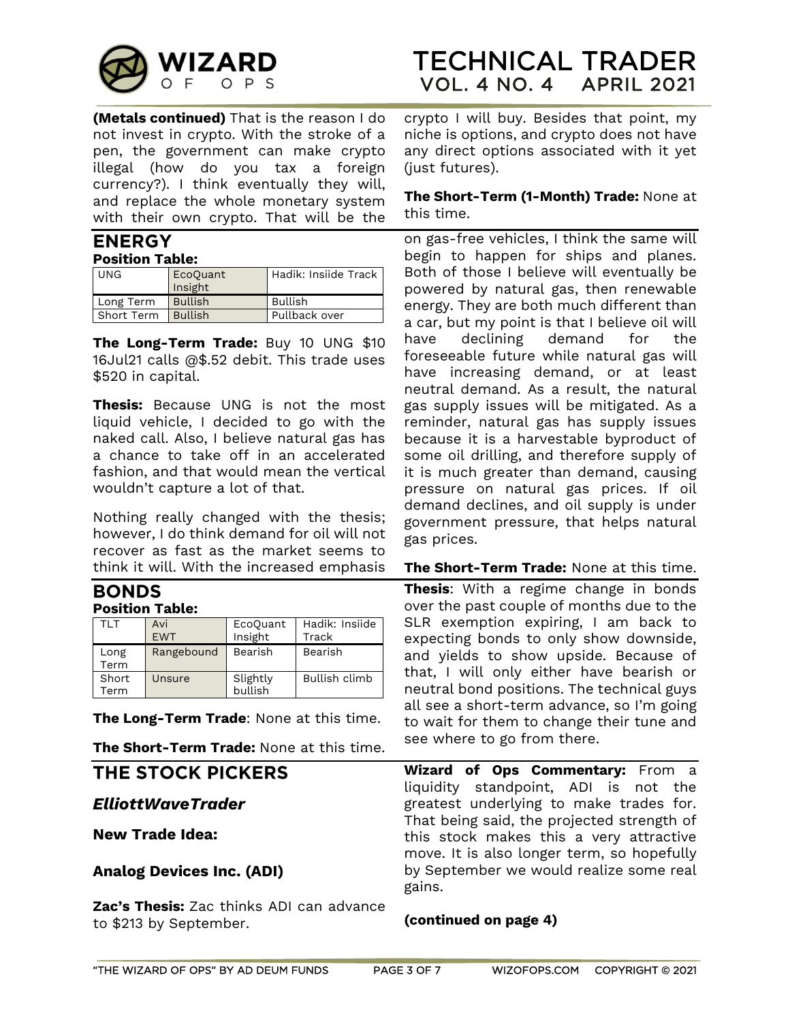

**(Metals continued)** That is the reason I do not invest in crypto. With the stroke of a pen, the government can make crypto illegal (how do you tax a foreign currency?). I think eventually they will, and replace the whole monetary system with their own crypto. That will be the

# **ENERGY**

#### **Position Table:**

| <b>UNG</b> | EcoQuant<br>Insight | Hadik: Insiide Track |
|------------|---------------------|----------------------|
| Long Term  | <b>Bullish</b>      | Bullish              |
| Short Term | Bullish             | Pullback over        |

**The Long-Term Trade:** Buy 10 UNG \$10 16Jul21 calls @\$.52 debit. This trade uses \$520 in capital.

**Thesis:** Because UNG is not the most liquid vehicle, I decided to go with the naked call. Also, I believe natural gas has a chance to take off in an accelerated fashion, and that would mean the vertical wouldn't capture a lot of that.

Nothing really changed with the thesis; however, I do think demand for oil will not recover as fast as the market seems to think it will. With the increased emphasis

#### **BONDS Position Table:**

| TLT          | Avi<br><b>EWT</b> | EcoQuant<br>Insight | Hadik: Insiide<br>Track |
|--------------|-------------------|---------------------|-------------------------|
| Long<br>Term | Rangebound        | Bearish             | Bearish                 |
| Short        | Unsure            | Slightly            | Bullish climb           |
| Term         |                   | bullish             |                         |

**The Long-Term Trade**: None at this time.

**The Short-Term Trade:** None at this time.

## THE STOCK PICKERS

#### <span id="page-2-0"></span>*ElliottWaveTrader*

**New Trade Idea:**

#### **Analog Devices Inc. (ADI)**

**Zac's Thesis:** Zac thinks ADI can advance to \$213 by September.

crypto I will buy. Besides that point, my niche is options, and crypto does not have any direct options associated with it yet (just futures).

#### **The Short-Term (1-Month) Trade:** None at this time.

on gas-free vehicles, I think the same will begin to happen for ships and planes. Both of those I believe will eventually be powered by natural gas, then renewable energy. They are both much different than a car, but my point is that I believe oil will have declining demand for the foreseeable future while natural gas will have increasing demand, or at least neutral demand. As a result, the natural gas supply issues will be mitigated. As a reminder, natural gas has supply issues because it is a harvestable byproduct of some oil drilling, and therefore supply of it is much greater than demand, causing pressure on natural gas prices. If oil demand declines, and oil supply is under government pressure, that helps natural gas prices.

#### **The Short-Term Trade:** None at this time.

**Thesis**: With a regime change in bonds over the past couple of months due to the SLR exemption expiring, I am back to expecting bonds to only show downside, and yields to show upside. Because of that, I will only either have bearish or neutral bond positions. The technical guys all see a short-term advance, so I'm going to wait for them to change their tune and see where to go from there.

**Wizard of Ops Commentary:** From a liquidity standpoint, ADI is not the greatest underlying to make trades for. That being said, the projected strength of this stock makes this a very attractive move. It is also longer term, so hopefully by September we would realize some real gains.

#### **(continued on page 4)**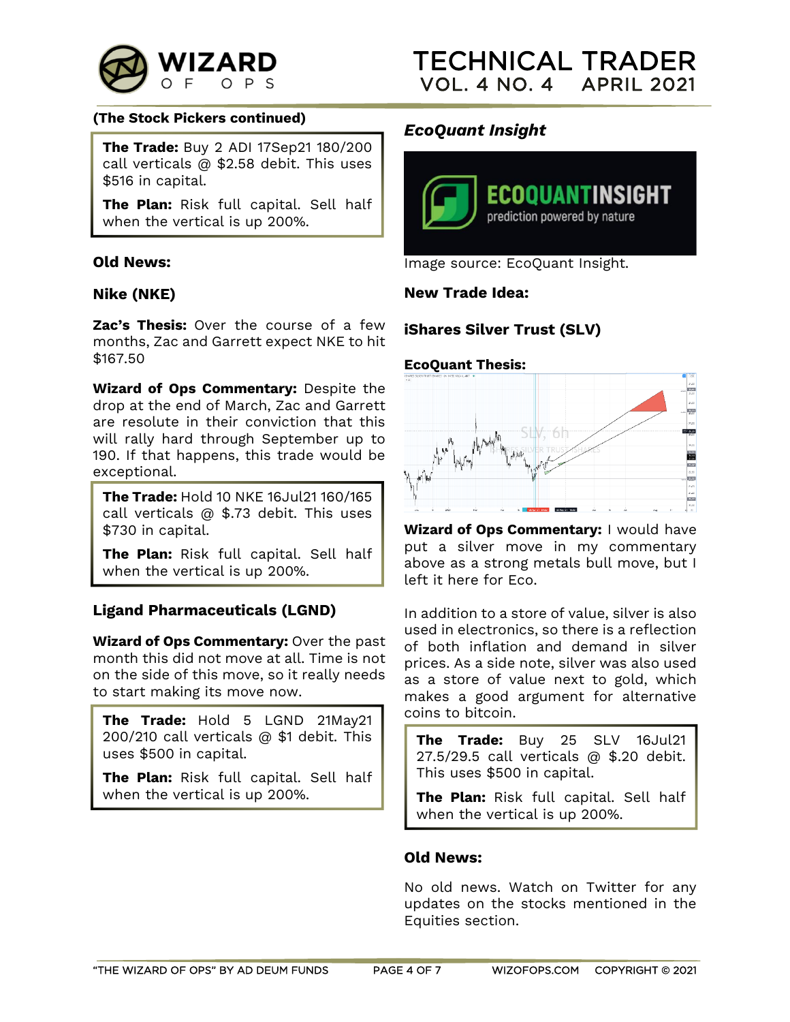

#### **(The Stock Pickers continued)**

**The Trade:** Buy 2 ADI 17Sep21 180/200 call verticals @ \$2.58 debit. This uses \$516 in capital.

**The Plan:** Risk full capital. Sell half when the vertical is up 200%.

#### **Old News:**

#### **Nike (NKE)**

**Zac's Thesis:** Over the course of a few months, Zac and Garrett expect NKE to hit \$167.50

**Wizard of Ops Commentary:** Despite the drop at the end of March, Zac and Garrett are resolute in their conviction that this will rally hard through September up to 190. If that happens, this trade would be exceptional.

**The Trade:** Hold 10 NKE 16Jul21 160/165 call verticals @ \$.73 debit. This uses \$730 in capital.

**The Plan:** Risk full capital. Sell half when the vertical is up 200%.

#### **Ligand Pharmaceuticals (LGND)**

**Wizard of Ops Commentary:** Over the past month this did not move at all. Time is not on the side of this move, so it really needs to start making its move now.

**The Trade:** Hold 5 LGND 21May21 200/210 call verticals @ \$1 debit. This uses \$500 in capital.

**The Plan:** Risk full capital. Sell half when the vertical is up 200%.

### <span id="page-3-0"></span>*EcoQuant Insight*



Image source: EcoQuant Insight.

#### **New Trade Idea:**

#### **iShares Silver Trust (SLV)**

#### **EcoQuant Thesis:**



**Wizard of Ops Commentary:** I would have put a silver move in my commentary above as a strong metals bull move, but I left it here for Eco.

In addition to a store of value, silver is also used in electronics, so there is a reflection of both inflation and demand in silver prices. As a side note, silver was also used as a store of value next to gold, which makes a good argument for alternative coins to bitcoin.

**The Trade:** Buy 25 SLV 16Jul21 27.5/29.5 call verticals @ \$.20 debit. This uses \$500 in capital.

**The Plan:** Risk full capital. Sell half when the vertical is up 200%.

#### **Old News:**

No old news. Watch on Twitter for any updates on the stocks mentioned in the Equities section.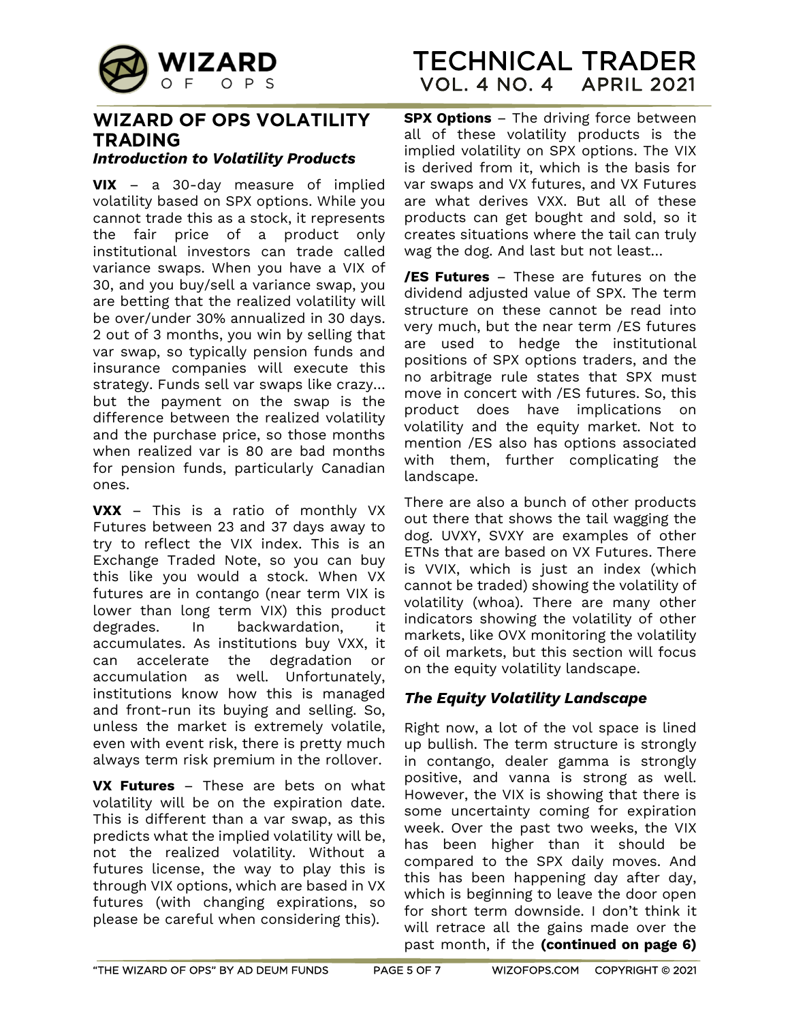

#### <span id="page-4-0"></span>**WIZARD OF OPS VOLATILITY TRADING** *Introduction to Volatility Products*

<span id="page-4-1"></span>**VIX** – a 30-day measure of implied volatility based on SPX options. While you cannot trade this as a stock, it represents the fair price of a product only institutional investors can trade called variance swaps. When you have a VIX of 30, and you buy/sell a variance swap, you are betting that the realized volatility will be over/under 30% annualized in 30 days. 2 out of 3 months, you win by selling that var swap, so typically pension funds and insurance companies will execute this strategy. Funds sell var swaps like crazy… but the payment on the swap is the difference between the realized volatility and the purchase price, so those months when realized var is 80 are bad months for pension funds, particularly Canadian ones.

**VXX** – This is a ratio of monthly VX Futures between 23 and 37 days away to try to reflect the VIX index. This is an Exchange Traded Note, so you can buy this like you would a stock. When VX futures are in contango (near term VIX is lower than long term VIX) this product degrades. In backwardation, it accumulates. As institutions buy VXX, it can accelerate the degradation or accumulation as well. Unfortunately, institutions know how this is managed and front-run its buying and selling. So, unless the market is extremely volatile, even with event risk, there is pretty much always term risk premium in the rollover.

**VX Futures** – These are bets on what volatility will be on the expiration date. This is different than a var swap, as this predicts what the implied volatility will be, not the realized volatility. Without a futures license, the way to play this is through VIX options, which are based in VX futures (with changing expirations, so please be careful when considering this).

**SPX Options** – The driving force between all of these volatility products is the implied volatility on SPX options. The VIX is derived from it, which is the basis for var swaps and VX futures, and VX Futures are what derives VXX. But all of these products can get bought and sold, so it creates situations where the tail can truly wag the dog. And last but not least…

**/ES Futures** – These are futures on the dividend adjusted value of SPX. The term structure on these cannot be read into very much, but the near term /ES futures are used to hedge the institutional positions of SPX options traders, and the no arbitrage rule states that SPX must move in concert with /ES futures. So, this product does have implications on volatility and the equity market. Not to mention /ES also has options associated with them, further complicating the landscape.

There are also a bunch of other products out there that shows the tail wagging the dog. UVXY, SVXY are examples of other ETNs that are based on VX Futures. There is VVIX, which is just an index (which cannot be traded) showing the volatility of volatility (whoa). There are many other indicators showing the volatility of other markets, like OVX monitoring the volatility of oil markets, but this section will focus on the equity volatility landscape.

### <span id="page-4-2"></span>*The Equity Volatility Landscape*

Right now, a lot of the vol space is lined up bullish. The term structure is strongly in contango, dealer gamma is strongly positive, and vanna is strong as well. However, the VIX is showing that there is some uncertainty coming for expiration week. Over the past two weeks, the VIX has been higher than it should be compared to the SPX daily moves. And this has been happening day after day, which is beginning to leave the door open for short term downside. I don't think it will retrace all the gains made over the past month, if the **(continued on page 6)**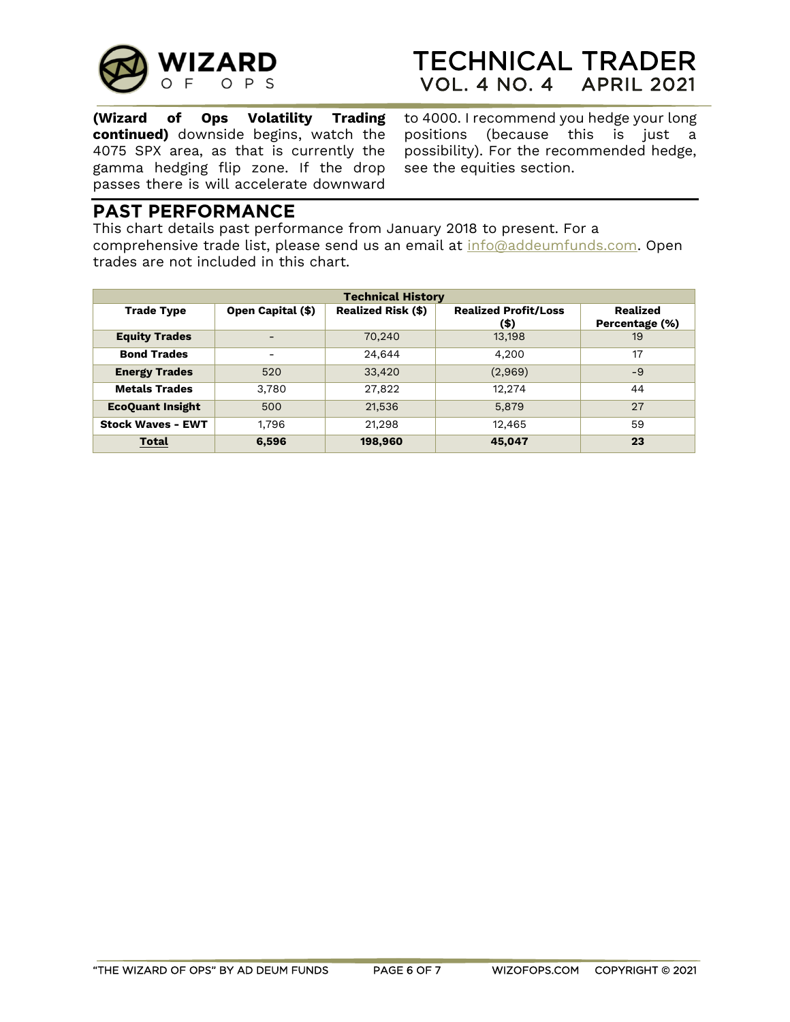

# **TECHNICAL TRADER VOL. 4 NO. 4 APRIL 2021**

**(Wizard of Ops Volatility Trading continued)** downside begins, watch the 4075 SPX area, as that is currently the gamma hedging flip zone. If the drop passes there is will accelerate downward

to 4000. I recommend you hedge your long positions (because this is just a possibility). For the recommended hedge, see the equities section.

### **PAST PERFORMANCE**

This chart details past performance from January 2018 to present. For a comprehensive trade list, please send us an email at [info@addeumfunds.com.](mailto:info@addeumfunds.com) Open trades are not included in this chart.

| <b>Technical History</b> |                          |                           |                                     |                                   |
|--------------------------|--------------------------|---------------------------|-------------------------------------|-----------------------------------|
| <b>Trade Type</b>        | Open Capital (\$)        | <b>Realized Risk (\$)</b> | <b>Realized Profit/Loss</b><br>(\$) | <b>Realized</b><br>Percentage (%) |
| <b>Equity Trades</b>     | $\qquad \qquad$          | 70,240                    | 13,198                              | 19                                |
| <b>Bond Trades</b>       | $\overline{\phantom{0}}$ | 24,644                    | 4,200                               | 17                                |
| <b>Energy Trades</b>     | 520                      | 33,420                    | (2,969)                             | $-9$                              |
| <b>Metals Trades</b>     | 3,780                    | 27,822                    | 12.274                              | 44                                |
| <b>EcoQuant Insight</b>  | 500                      | 21,536                    | 5,879                               | 27                                |
| <b>Stock Waves - EWT</b> | 1,796                    | 21,298                    | 12,465                              | 59                                |
| <b>Total</b>             | 6,596                    | 198,960                   | 45,047                              | 23                                |